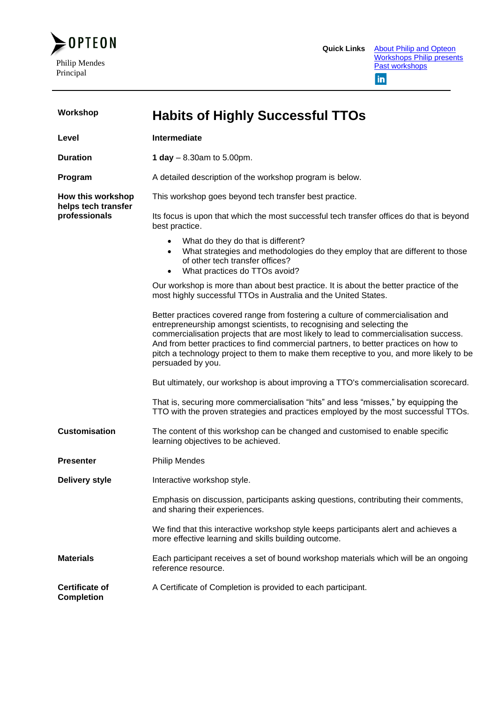

| Workshop                                   | <b>Habits of Highly Successful TTOs</b>                                                                                                                                                                                                                                                                                                                                                                                                                    |  |
|--------------------------------------------|------------------------------------------------------------------------------------------------------------------------------------------------------------------------------------------------------------------------------------------------------------------------------------------------------------------------------------------------------------------------------------------------------------------------------------------------------------|--|
| Level                                      | Intermediate                                                                                                                                                                                                                                                                                                                                                                                                                                               |  |
| <b>Duration</b>                            | 1 day $-8.30$ am to 5.00pm.                                                                                                                                                                                                                                                                                                                                                                                                                                |  |
| Program                                    | A detailed description of the workshop program is below.                                                                                                                                                                                                                                                                                                                                                                                                   |  |
| How this workshop<br>helps tech transfer   | This workshop goes beyond tech transfer best practice.                                                                                                                                                                                                                                                                                                                                                                                                     |  |
| professionals                              | Its focus is upon that which the most successful tech transfer offices do that is beyond<br>best practice.                                                                                                                                                                                                                                                                                                                                                 |  |
|                                            | What do they do that is different?<br>$\bullet$<br>What strategies and methodologies do they employ that are different to those<br>$\bullet$<br>of other tech transfer offices?<br>What practices do TTOs avoid?<br>$\bullet$                                                                                                                                                                                                                              |  |
|                                            | Our workshop is more than about best practice. It is about the better practice of the<br>most highly successful TTOs in Australia and the United States.                                                                                                                                                                                                                                                                                                   |  |
|                                            | Better practices covered range from fostering a culture of commercialisation and<br>entrepreneurship amongst scientists, to recognising and selecting the<br>commercialisation projects that are most likely to lead to commercialisation success.<br>And from better practices to find commercial partners, to better practices on how to<br>pitch a technology project to them to make them receptive to you, and more likely to be<br>persuaded by you. |  |
|                                            | But ultimately, our workshop is about improving a TTO's commercialisation scorecard.                                                                                                                                                                                                                                                                                                                                                                       |  |
|                                            | That is, securing more commercialisation "hits" and less "misses," by equipping the<br>TTO with the proven strategies and practices employed by the most successful TTOs.                                                                                                                                                                                                                                                                                  |  |
| <b>Customisation</b>                       | The content of this workshop can be changed and customised to enable specific<br>learning objectives to be achieved.                                                                                                                                                                                                                                                                                                                                       |  |
| <b>Presenter</b>                           | <b>Philip Mendes</b>                                                                                                                                                                                                                                                                                                                                                                                                                                       |  |
| <b>Delivery style</b>                      | Interactive workshop style.                                                                                                                                                                                                                                                                                                                                                                                                                                |  |
|                                            | Emphasis on discussion, participants asking questions, contributing their comments,<br>and sharing their experiences.                                                                                                                                                                                                                                                                                                                                      |  |
|                                            | We find that this interactive workshop style keeps participants alert and achieves a<br>more effective learning and skills building outcome.                                                                                                                                                                                                                                                                                                               |  |
| <b>Materials</b>                           | Each participant receives a set of bound workshop materials which will be an ongoing<br>reference resource.                                                                                                                                                                                                                                                                                                                                                |  |
| <b>Certificate of</b><br><b>Completion</b> | A Certificate of Completion is provided to each participant.                                                                                                                                                                                                                                                                                                                                                                                               |  |